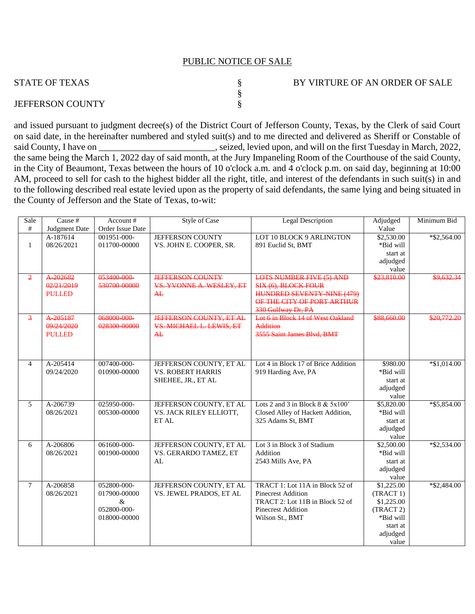## PUBLIC NOTICE OF SALE

| <b>STATE OF TEXAS</b>   | BY VIRTURE OF AN ORDER OF SALE |
|-------------------------|--------------------------------|
|                         |                                |
| <b>JEFFERSON COUNTY</b> |                                |

and issued pursuant to judgment decree(s) of the District Court of Jefferson County, Texas, by the Clerk of said Court on said date, in the hereinafter numbered and styled suit(s) and to me directed and delivered as Sheriff or Constable of said County, I have on \_\_\_\_\_\_\_\_\_\_\_\_\_\_\_\_\_\_\_\_\_\_\_\_, seized, levied upon, and will on the first Tuesday in March, 2022, the same being the March 1, 2022 day of said month, at the Jury Impaneling Room of the Courthouse of the said County, in the City of Beaumont, Texas between the hours of 10 o'clock a.m. and 4 o'clock p.m. on said day, beginning at 10:00 AM, proceed to sell for cash to the highest bidder all the right, title, and interest of the defendants in such suit(s) in and to the following described real estate levied upon as the property of said defendants, the same lying and being situated in the County of Jefferson and the State of Texas, to-wit:

| Sale<br>$\#$   | Cause #<br>Judgment Date                | Account#<br>Order Issue Date                                       | <b>Style of Case</b>                                                      | <b>Legal Description</b>                                                                                                                        | Adjudged<br>Value                                                                                | Minimum Bid    |
|----------------|-----------------------------------------|--------------------------------------------------------------------|---------------------------------------------------------------------------|-------------------------------------------------------------------------------------------------------------------------------------------------|--------------------------------------------------------------------------------------------------|----------------|
| $\mathbf{1}$   | A-187614<br>08/26/2021                  | 001951-000-<br>011700-00000                                        | <b>JEFFERSON COUNTY</b><br>VS. JOHN E. COOPER, SR.                        | LOT 10 BLOCK 9 ARLINGTON<br>891 Euclid St, BMT                                                                                                  | \$2,530.00<br>*Bid will<br>start at<br>adjudged<br>value                                         | $*$ \$2,564.00 |
| $\overline{2}$ | A-202682<br>02/21/2019<br><b>PULLED</b> | 053400-000<br>530700-00000                                         | <b>JEFFERSON COUNTY</b><br>VS. YVONNE A. WESLEY, ET<br>AE                 | <b>LOTS NUMBER FIVE (5) AND</b><br>SIX (6), BLOCK FOUR<br><b>HUNDRED SEVENTY NINE (479)</b><br>OF THE CITY OF PORT ARTHUR<br>330 Gulfway Dr, PA | \$23,810.00                                                                                      | \$9,632.34     |
| $\overline{3}$ | A205187<br>09/24/2020<br><b>PULLED</b>  | 068000-000-<br>028300-00000                                        | <b>JEFFERSON COUNTY, ET AL</b><br>VS. MICHAEL L. LEWIS, ET<br>AE          | Lot 6 in Block 14 of West Oakland<br>Addition<br>3555 Saint James Blvd, BMT                                                                     | \$88,660.00                                                                                      | \$20,772.20    |
| $\overline{4}$ | A-205414<br>09/24/2020                  | 007400-000-<br>010900-00000                                        | JEFFERSON COUNTY, ET AL<br><b>VS. ROBERT HARRIS</b><br>SHEHEE, JR., ET AL | Lot 4 in Block 17 of Brice Addition<br>919 Harding Ave, PA                                                                                      | \$980.00<br>*Bid will<br>start at<br>adjudged<br>value                                           | $*$ \$1,014.00 |
| 5              | A-206739<br>08/26/2021                  | 025950-000-<br>005300-00000                                        | JEFFERSON COUNTY, ET AL<br>VS. JACK RILEY ELLIOTT,<br>ET AL               | Lots 2 and 3 in Block $8 \& 5x100'$<br>Closed Alley of Hackett Addition,<br>325 Adams St, BMT                                                   | \$5,820.00<br>*Bid will<br>start at<br>adjudged<br>value                                         | *\$5,854.00    |
| 6              | A-206806<br>08/26/2021                  | 061600-000-<br>001900-00000                                        | JEFFERSON COUNTY, ET AL<br>VS. GERARDO TAMEZ, ET<br>AL                    | Lot 3 in Block 3 of Stadium<br>Addition<br>2543 Mills Ave, PA                                                                                   | \$2,500.00<br>*Bid will<br>start at<br>adjudged<br>value                                         | $*$ \$2,534.00 |
| $\tau$         | A-206858<br>08/26/2021                  | 052800-000-<br>017900-00000<br>$\&$<br>052800-000-<br>018000-00000 | JEFFERSON COUNTY, ET AL<br>VS. JEWEL PRADOS, ET AL                        | TRACT 1: Lot 11A in Block 52 of<br><b>Pinecrest Addition</b><br>TRACT 2: Lot 11B in Block 52 of<br><b>Pinecrest Addition</b><br>Wilson St., BMT | \$1,225.00<br>(TRACT 1)<br>\$1,225.00<br>(TRACT 2)<br>*Bid will<br>start at<br>adjudged<br>value | $*$ \$2,484.00 |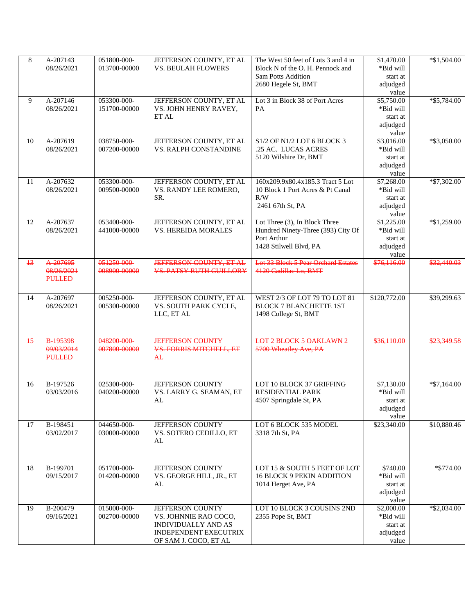| 8    | A-207143               | 051800-000-  | JEFFERSON COUNTY, ET AL                     | The West 50 feet of Lots 3 and 4 in                 | \$1,470.00              | $*\$1,504.00$  |
|------|------------------------|--------------|---------------------------------------------|-----------------------------------------------------|-------------------------|----------------|
|      | 08/26/2021             | 013700-00000 | <b>VS. BEULAH FLOWERS</b>                   | Block N of the O. H. Pennock and                    | *Bid will               |                |
|      |                        |              |                                             | <b>Sam Potts Addition</b>                           | start at                |                |
|      |                        |              |                                             | 2680 Hegele St, BMT                                 | adjudged                |                |
|      |                        |              |                                             |                                                     | value                   |                |
| 9    | A-207146               | 053300-000-  | JEFFERSON COUNTY, ET AL                     | Lot 3 in Block 38 of Port Acres                     | \$5,750.00              | $*$ \$5,784.00 |
|      | 08/26/2021             | 151700-00000 | VS. JOHN HENRY RAVEY,<br>ET AL              | <b>PA</b>                                           | *Bid will               |                |
|      |                        |              |                                             |                                                     | start at<br>adjudged    |                |
|      |                        |              |                                             |                                                     | value                   |                |
| 10   | A-207619               | 038750-000-  | JEFFERSON COUNTY, ET AL                     | S1/2 OF N1/2 LOT 6 BLOCK 3                          | \$3,016.00              | *\$3,050.00    |
|      | 08/26/2021             | 007200-00000 | VS. RALPH CONSTANDINE                       | .25 AC. LUCAS ACRES                                 | *Bid will               |                |
|      |                        |              |                                             | 5120 Wilshire Dr, BMT                               | start at                |                |
|      |                        |              |                                             |                                                     | adjudged                |                |
|      |                        |              |                                             |                                                     | value                   |                |
| 11   | A-207632               | 053300-000-  | JEFFERSON COUNTY, ET AL                     | 160x209.9x80.4x185.3 Tract 5 Lot                    | \$7,268.00              | $*$ \$7,302.00 |
|      | 08/26/2021             | 009500-00000 | VS. RANDY LEE ROMERO,                       | 10 Block 1 Port Acres & Pt Canal                    | *Bid will               |                |
|      |                        |              | SR.                                         | R/W                                                 | start at                |                |
|      |                        |              |                                             | 2461 67th St, PA                                    | adjudged                |                |
| 12   | A-207637               | 053400-000-  | JEFFERSON COUNTY, ET AL                     | Lot Three (3), In Block Three                       | value<br>\$1,225.00     | $*$ \$1,259.00 |
|      | 08/26/2021             | 441000-00000 | VS. HEREIDA MORALES                         | Hundred Ninety-Three (393) City Of                  | *Bid will               |                |
|      |                        |              |                                             | Port Arthur                                         | start at                |                |
|      |                        |              |                                             | 1428 Stilwell Blvd, PA                              | adjudged                |                |
|      |                        |              |                                             |                                                     | value                   |                |
| $+3$ | A-207695               | 051250-000-  | <b>JEFFERSON COUNTY, ET AL</b>              | <b>Lot 33 Block 5 Pear Orchard Estates</b>          | \$76,116.00             | \$32,440.03    |
|      | 08/26/2021             | 008900-00000 | <b>VS. PATSY RUTH GUILLORY</b>              | 4120 Cadillac Ln, BMT                               |                         |                |
|      | <b>PULLED</b>          |              |                                             |                                                     |                         |                |
|      |                        |              |                                             |                                                     |                         |                |
| 14   | A-207697               | 005250-000-  | JEFFERSON COUNTY, ET AL                     | WEST 2/3 OF LOT 79 TO LOT 81                        | \$120,772.00            | \$39,299.63    |
|      | 08/26/2021             | 005300-00000 | VS. SOUTH PARK CYCLE,                       | <b>BLOCK 7 BLANCHETTE 1ST</b>                       |                         |                |
|      |                        |              | LLC, ET AL                                  | 1498 College St, BMT                                |                         |                |
|      |                        |              |                                             |                                                     |                         |                |
|      |                        |              |                                             |                                                     |                         |                |
| 15   | B-195398               | 048200-000-  | <b>JEFFERSON COUNTY</b>                     | LOT 2 BLOCK 5 OAKLAWN 2                             | \$36,110.00             | \$23,349.58    |
|      | 09/03/2014             | 007800-00000 | <b>VS. FORRIS MITCHELL, ET</b>              | 5700 Wheatley Ave, PA                               |                         |                |
|      | <b>PULLED</b>          |              | AE                                          |                                                     |                         |                |
|      |                        |              |                                             |                                                     |                         |                |
|      |                        | 025300-000-  |                                             |                                                     |                         |                |
| 16   | B-197526<br>03/03/2016 | 040200-00000 | JEFFERSON COUNTY<br>VS. LARRY G. SEAMAN, ET | LOT 10 BLOCK 37 GRIFFING<br><b>RESIDENTIAL PARK</b> | \$7,130.00<br>*Bid will | $*$ \$7,164.00 |
|      |                        |              | AL                                          | 4507 Springdale St, PA                              | start at                |                |
|      |                        |              |                                             |                                                     | adjudged                |                |
|      |                        |              |                                             |                                                     | value                   |                |
| 17   | B-198451               | 044650-000-  | JEFFERSON COUNTY                            | LOT 6 BLOCK 535 MODEL                               | \$23,340.00             | \$10,880.46    |
|      | 03/02/2017             | 030000-00000 | VS. SOTERO CEDILLO, ET                      | 3318 7th St, PA                                     |                         |                |
|      |                        |              | AL                                          |                                                     |                         |                |
|      |                        |              |                                             |                                                     |                         |                |
|      |                        |              |                                             |                                                     |                         |                |
| 18   | B-199701               | 051700-000-  | JEFFERSON COUNTY                            | LOT 15 & SOUTH 5 FEET OF LOT                        | \$740.00                | *\$774.00      |
|      | 09/15/2017             | 014200-00000 | VS. GEORGE HILL, JR., ET                    | <b>16 BLOCK 9 PEKIN ADDITION</b>                    | *Bid will               |                |
|      |                        |              | AL                                          | 1014 Herget Ave, PA                                 | start at                |                |
|      |                        |              |                                             |                                                     | adjudged                |                |
| 19   | B-200479               | 015000-000-  | JEFFERSON COUNTY                            | LOT 10 BLOCK 3 COUSINS 2ND                          | value                   |                |
|      | 09/16/2021             | 002700-00000 | VS. JOHNNIE RAO COCO,                       | 2355 Pope St, BMT                                   | \$2,000.00<br>*Bid will | $*$ \$2,034.00 |
|      |                        |              | INDIVIDUALLY AND AS                         |                                                     | start at                |                |
|      |                        |              | <b>INDEPENDENT EXECUTRIX</b>                |                                                     | adjudged                |                |
|      |                        |              | OF SAM J. COCO, ET AL                       |                                                     | value                   |                |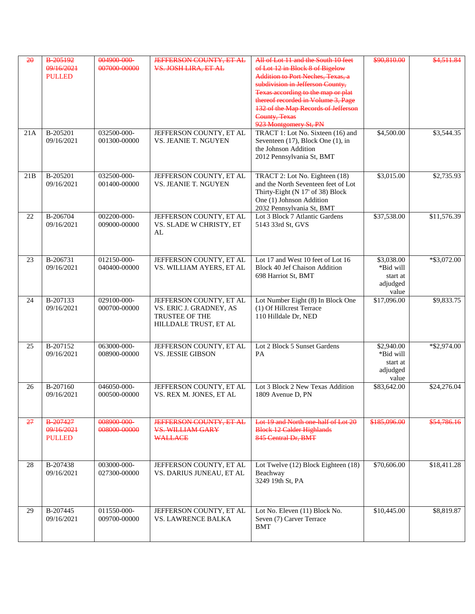| 20  | B-205192<br>09/16/2021<br><b>PULLED</b> | 004900-000-<br>007000-00000     | <b>JEFFERSON COUNTY, ET AL.</b><br>VS. JOSH LIRA, ET AL                                       | All of Lot 11 and the South 10 feet<br>of Lot 12 in Block 8 of Bigelow<br>Addition to Port Neches, Texas, a<br>subdivision in Jefferson County,<br>Texas according to the map or plat<br>thereof recorded in Volume 3, Page<br>132 of the Map Records of Jefferson<br>County, Texas<br>923 Montgomery St, PN | \$90,810.00                                              | \$4.511.84               |
|-----|-----------------------------------------|---------------------------------|-----------------------------------------------------------------------------------------------|--------------------------------------------------------------------------------------------------------------------------------------------------------------------------------------------------------------------------------------------------------------------------------------------------------------|----------------------------------------------------------|--------------------------|
| 21A | B-205201<br>09/16/2021                  | 032500-000-<br>001300-00000     | JEFFERSON COUNTY, ET AL<br>VS. JEANIE T. NGUYEN                                               | TRACT 1: Lot No. Sixteen (16) and<br>Seventeen $(17)$ , Block One $(1)$ , in<br>the Johnson Addition<br>2012 Pennsylvania St, BMT                                                                                                                                                                            | \$4,500.00                                               | \$3,544.35               |
| 21B | B-205201<br>09/16/2021                  | 032500-000-<br>001400-00000     | JEFFERSON COUNTY, ET AL<br>VS. JEANIE T. NGUYEN                                               | TRACT 2: Lot No. Eighteen (18)<br>and the North Seventeen feet of Lot<br>Thirty-Eight (N 17' of 38) Block<br>One (1) Johnson Addition<br>2032 Pennsylvania St, BMT                                                                                                                                           | \$3,015.00                                               | \$2,735.93               |
| 22  | B-206704<br>09/16/2021                  | 002200-000-<br>009000-00000     | JEFFERSON COUNTY, ET AL<br>VS. SLADE W CHRISTY, ET<br>AL                                      | Lot 3 Block 7 Atlantic Gardens<br>5143 33rd St, GVS                                                                                                                                                                                                                                                          | \$37,538.00                                              | \$11,576.39              |
| 23  | B-206731<br>09/16/2021                  | 012150-000-<br>040400-00000     | JEFFERSON COUNTY, ET AL<br>VS. WILLIAM AYERS, ET AL                                           | Lot 17 and West 10 feet of Lot 16<br><b>Block 40 Jef Chaison Addition</b><br>698 Harriot St, BMT                                                                                                                                                                                                             | \$3,038.00<br>*Bid will<br>start at<br>adjudged<br>value | $*$ \$3,072.00           |
| 24  | B-207133<br>09/16/2021                  | 029100-000-<br>000700-00000     | JEFFERSON COUNTY, ET AL<br>VS. ERIC J. GRADNEY, AS<br>TRUSTEE OF THE<br>HILLDALE TRUST, ET AL | Lot Number Eight (8) In Block One<br>(1) Of Hillcrest Terrace<br>110 Hilldale Dr, NED                                                                                                                                                                                                                        | \$17,096.00                                              | \$9,833.75               |
| 25  | B-207152<br>09/16/2021                  | 063000-000-<br>008900-00000     | JEFFERSON COUNTY, ET AL<br><b>VS. JESSIE GIBSON</b>                                           | Lot 2 Block 5 Sunset Gardens<br>PA                                                                                                                                                                                                                                                                           | \$2,940.00<br>*Bid will<br>start at<br>adjudged<br>value | $\overline{$}8,8,974.00$ |
| 26  | B-207160<br>09/16/2021                  | 046050-000-<br>000500-00000     | JEFFERSON COUNTY, ET AL<br>VS. REX M. JONES, ET AL                                            | Lot 3 Block 2 New Texas Addition<br>1809 Avenue D, PN                                                                                                                                                                                                                                                        | \$83,642.00                                              | \$24,276.04              |
| 27  | B-207427<br>09/16/2021<br><b>PULLED</b> | 008900-000-<br>$008000 - 00000$ | <b>JEFFERSON COUNTY, ET AL</b><br><b>VS. WILLIAM GARY</b><br><b>WALLACE</b>                   | Lot 19 and North one-half of Lot 20<br><b>Block 12 Calder Highlands</b><br>845 Central Dr. BMT                                                                                                                                                                                                               | \$185,096,00                                             | \$54,786,16              |
| 28  | B-207438<br>09/16/2021                  | 003000-000-<br>027300-00000     | JEFFERSON COUNTY, ET AL<br>VS. DARIUS JUNEAU, ET AL                                           | Lot Twelve (12) Block Eighteen (18)<br>Beachway<br>3249 19th St, PA                                                                                                                                                                                                                                          | \$70,606.00                                              | \$18,411.28              |
| 29  | B-207445<br>09/16/2021                  | 011550-000-<br>009700-00000     | JEFFERSON COUNTY, ET AL<br><b>VS. LAWRENCE BALKA</b>                                          | Lot No. Eleven (11) Block No.<br>Seven (7) Carver Terrace<br><b>BMT</b>                                                                                                                                                                                                                                      | \$10,445.00                                              | \$8,819.87               |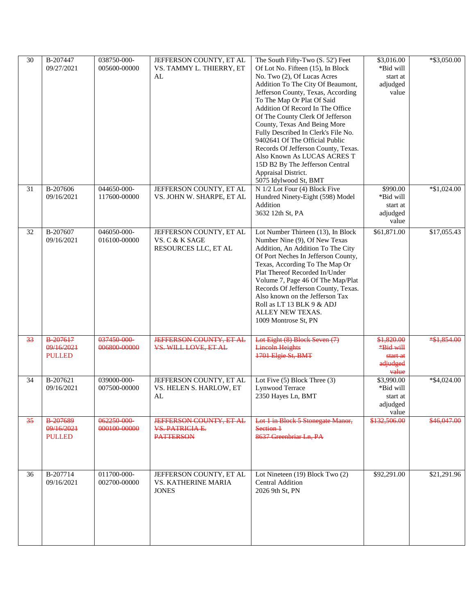| 30 | B-207447<br>09/27/2021                         | 038750-000-<br>005600-00000 | JEFFERSON COUNTY, ET AL<br>VS. TAMMY L. THIERRY, ET<br>AL              | The South Fifty-Two (S. 52') Feet<br>Of Lot No. Fifteen (15), In Block<br>No. Two (2), Of Lucas Acres<br>Addition To The City Of Beaumont,<br>Jefferson County, Texas, According<br>To The Map Or Plat Of Said<br>Addition Of Record In The Office<br>Of The County Clerk Of Jefferson<br>County, Texas And Being More<br>Fully Described In Clerk's File No.<br>9402641 Of The Official Public<br>Records Of Jefferson County, Texas.<br>Also Known As LUCAS ACRES T<br>15D B2 By The Jefferson Central<br>Appraisal District.<br>5075 Idylwood St, BMT | \$3,016.00<br>*Bid will<br>start at<br>adjudged<br>value        | $*$ \$3,050.00 |
|----|------------------------------------------------|-----------------------------|------------------------------------------------------------------------|----------------------------------------------------------------------------------------------------------------------------------------------------------------------------------------------------------------------------------------------------------------------------------------------------------------------------------------------------------------------------------------------------------------------------------------------------------------------------------------------------------------------------------------------------------|-----------------------------------------------------------------|----------------|
| 31 | B-207606<br>09/16/2021                         | 044650-000-<br>117600-00000 | JEFFERSON COUNTY, ET AL<br>VS. JOHN W. SHARPE, ET AL                   | N 1/2 Lot Four (4) Block Five<br>Hundred Ninety-Eight (598) Model<br>Addition<br>3632 12th St, PA                                                                                                                                                                                                                                                                                                                                                                                                                                                        | \$990.00<br>*Bid will<br>start at<br>adjudged<br>value          | $*\$1,024.00$  |
| 32 | B-207607<br>09/16/2021                         | 046050-000-<br>016100-00000 | JEFFERSON COUNTY, ET AL<br>VS. C & K SAGE<br>RESOURCES LLC, ET AL      | Lot Number Thirteen (13), In Block<br>Number Nine (9), Of New Texas<br>Addition, An Addition To The City<br>Of Port Neches In Jefferson County,<br>Texas, According To The Map Or<br>Plat Thereof Recorded In/Under<br>Volume 7, Page 46 Of The Map/Plat<br>Records Of Jefferson County, Texas.<br>Also known on the Jefferson Tax<br>Roll as LT 13 BLK 9 & ADJ<br>ALLEY NEW TEXAS.<br>1009 Montrose St, PN                                                                                                                                              | \$61,871.00                                                     | \$17,055.43    |
| 33 | B-207617<br>09/16/2021<br><b>PULLED</b>        | 037450-000-<br>006800-00000 | <b>JEFFERSON COUNTY, ET AL</b><br>VS. WILL LOVE, ET AL                 | Lot Eight (8) Block Seven (7)<br><b>Lincoln Heights</b><br>1701 Elgie St, BMT                                                                                                                                                                                                                                                                                                                                                                                                                                                                            | \$1,820.00<br><b>*Bid will</b><br>start at<br>adjudged<br>value | *\$1,854.00    |
| 34 | B-207621<br>09/16/2021                         | 039000-000-<br>007500-00000 | JEFFERSON COUNTY, ET AL<br>VS. HELEN S. HARLOW, ET<br>AL               | Lot Five (5) Block Three (3)<br>Lynwood Terrace<br>2350 Hayes Ln, BMT                                                                                                                                                                                                                                                                                                                                                                                                                                                                                    | \$3,990.00<br>*Bid will<br>start at<br>adjudged<br>value        | $*$ \$4,024.00 |
| 35 | <b>B-207689</b><br>09/16/2021<br><b>PULLED</b> | 062250-000-<br>000100-00000 | <b>JEFFERSON COUNTY, ET AL.</b><br>VS. PATRICIA E.<br><b>PATTERSON</b> | Lot 1 in Block 5 Stonegate Manor,<br>Section 1<br>8637 Greenbriar Ln, PA                                                                                                                                                                                                                                                                                                                                                                                                                                                                                 | \$132,506.00                                                    | \$46,047.00    |
| 36 | B-207714<br>09/16/2021                         | 011700-000-<br>002700-00000 | JEFFERSON COUNTY, ET AL<br><b>VS. KATHERINE MARIA</b><br><b>JONES</b>  | Lot Nineteen (19) Block Two (2)<br><b>Central Addition</b><br>2026 9th St, PN                                                                                                                                                                                                                                                                                                                                                                                                                                                                            | \$92,291.00                                                     | \$21,291.96    |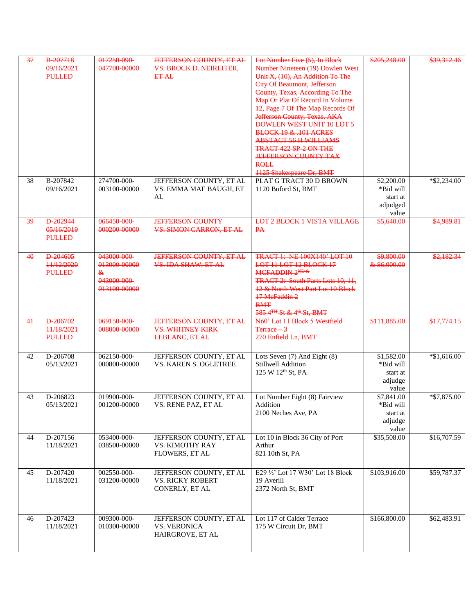| 37        | <b>B-207718</b><br>09/16/2021<br><b>PULLED</b> | 017250-090-<br>047700-00000                                     | <b>JEFFERSON COUNTY ET AL</b><br><b>VS. BROCK D. NEIREITER,</b><br><b>ET AL</b>    | Lot Number Five (5). In Block<br>Number Nineteen (19) Dowlen West<br>Unit X, (10), An Addition To The<br><b>City Of Beaumont, Jefferson</b><br>County, Texas, According To The<br>Map Or Plat Of Record In Volume<br>12, Page 7 Of The Map Records Of<br>Jefferson County, Texas, AKA<br><b>DOWLEN WEST UNIT 10 LOT 5</b><br><b>BLOCK 19 &amp; 101 ACRES</b><br><b>ABSTACT 56 H WILLIAMS</b><br><b>TRACT 422 SP 2 ON THE</b><br><b>JEFFERSON COUNTY TAX</b><br><b>ROLL</b><br><b>1125 Shakespeare Dr, BMT</b> | \$205,248.00                                             | \$39,312.46    |
|-----------|------------------------------------------------|-----------------------------------------------------------------|------------------------------------------------------------------------------------|---------------------------------------------------------------------------------------------------------------------------------------------------------------------------------------------------------------------------------------------------------------------------------------------------------------------------------------------------------------------------------------------------------------------------------------------------------------------------------------------------------------|----------------------------------------------------------|----------------|
| 38        | B-207842<br>09/16/2021                         | 274700-000-<br>003100-00000                                     | JEFFERSON COUNTY, ET AL<br>VS. EMMA MAE BAUGH, ET<br>AL                            | PLAT G TRACT 30 D BROWN<br>1120 Buford St, BMT                                                                                                                                                                                                                                                                                                                                                                                                                                                                | \$2,200.00<br>*Bid will<br>start at<br>adjudged<br>value | $*$ \$2,234.00 |
| 39        | D-202944<br>05/16/2019<br><b>PULLED</b>        | 066450-000-<br>000200-00000                                     | <b>IEFFERSON COUNTY</b><br><b>VS. SIMON CARRON, ET AL</b>                          | <b>LOT 2 BLOCK 1 VISTA VILLAGE</b><br>PA                                                                                                                                                                                                                                                                                                                                                                                                                                                                      | \$5,640.00                                               | \$4,989.81     |
| $4\theta$ | D-204605<br>11/12/2020<br><b>PULLED</b>        | 043000-000-<br>013000-00000<br>&<br>043000-000-<br>013100-00000 | <b>JEFFERSON COUNTY, ET AL</b><br>VS. IDA SHAW, ET AL                              | <b>TRACT 1: NE 100X140' LOT 10</b><br>LOT 11 LOT 12 BLOCK 17<br>$MCFADDIN2^{ND.&}$<br>TRACT 2: South Parts Lots 10, 11,<br>12 & North West Part Lot 10 Block<br>17 MeFaddin 2<br><b>BMT</b><br>585 4 <sup>TH</sup> St & 4 <sup>th</sup> St, BMT                                                                                                                                                                                                                                                               | \$9,800.00<br>& \$6,000.00                               | \$2,182.34     |
| 41        | D-206702<br>++/18/2021<br><b>PULLED</b>        | 069150-000-<br>008000-00000                                     | <b>JEFFERSON COUNTY, ET AL</b><br><b>VS. WHITNEY KIRK</b><br><b>LEBLANC, ET AL</b> | N60' Lot 11 Block 5 Westfield<br><del>Terrace 3</del><br>270 Enfield Ln. BMT                                                                                                                                                                                                                                                                                                                                                                                                                                  | \$111,885.00                                             | \$17,774.15    |
| 42        | D-206708<br>05/13/2021                         | 062150-000-<br>000800-00000                                     | JEFFERSON COUNTY, ET AL<br><b>VS. KAREN S. OGLETREE</b>                            | Lots Seven (7) And Eight (8)<br>Stillwell Addition<br>125 W 12th St, PA                                                                                                                                                                                                                                                                                                                                                                                                                                       | \$1,582.00<br>*Bid will<br>start at<br>adjudge<br>value  | $*$ \$1,616.00 |
| 43        | D-206823<br>05/13/2021                         | 019900-000-<br>001200-00000                                     | JEFFERSON COUNTY, ET AL<br>VS. RENE PAZ, ET AL                                     | Lot Number Eight (8) Fairview<br>Addition<br>2100 Neches Ave, PA                                                                                                                                                                                                                                                                                                                                                                                                                                              | \$7,841.00<br>*Bid will<br>start at<br>adjudge<br>value  | *\$7,875.00    |
| 44        | D-207156<br>11/18/2021                         | 053400-000-<br>038500-00000                                     | JEFFERSON COUNTY, ET AL<br>VS. KIMOTHY RAY<br>FLOWERS, ET AL                       | Lot 10 in Block 36 City of Port<br>Arthur<br>821 10th St, PA                                                                                                                                                                                                                                                                                                                                                                                                                                                  | \$35,508.00                                              | \$16,707.59    |
| 45        | D-207420<br>11/18/2021                         | 002550-000-<br>031200-00000                                     | JEFFERSON COUNTY, ET AL<br><b>VS. RICKY ROBERT</b><br>CONERLY, ET AL               | E29 1/2' Lot 17 W30' Lot 18 Block<br>19 Averill<br>2372 North St, BMT                                                                                                                                                                                                                                                                                                                                                                                                                                         | \$103,916.00                                             | \$59,787.37    |
| 46        | D-207423<br>11/18/2021                         | 009300-000-<br>010300-00000                                     | JEFFERSON COUNTY, ET AL<br><b>VS. VERONICA</b><br>HAIRGROVE, ET AL                 | Lot 117 of Calder Terrace<br>175 W Circuit Dr, BMT                                                                                                                                                                                                                                                                                                                                                                                                                                                            | \$166,800.00                                             | \$62,483.91    |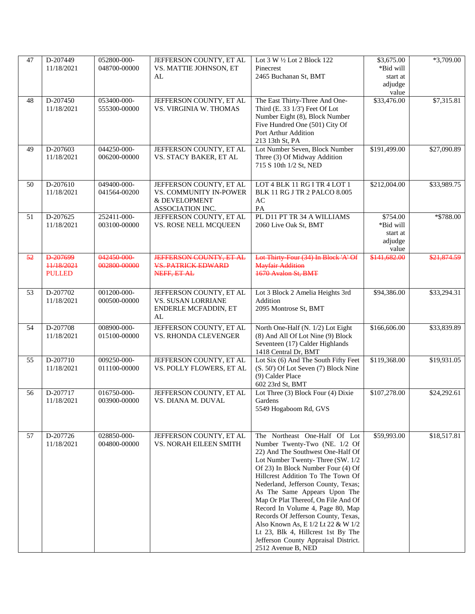| 47 | D-207449                                | 052800-000-                 | JEFFERSON COUNTY, ET AL                                                                | Lot 3 W 1/2 Lot 2 Block 122                                                                                                                                                                                                                                                                                                                                                                                                                                                                                                                           | \$3,675.00                                                             | $*3,709.00$ |
|----|-----------------------------------------|-----------------------------|----------------------------------------------------------------------------------------|-------------------------------------------------------------------------------------------------------------------------------------------------------------------------------------------------------------------------------------------------------------------------------------------------------------------------------------------------------------------------------------------------------------------------------------------------------------------------------------------------------------------------------------------------------|------------------------------------------------------------------------|-------------|
|    | 11/18/2021                              | 048700-00000                | VS. MATTIE JOHNSON, ET<br>AL                                                           | Pinecrest<br>2465 Buchanan St, BMT                                                                                                                                                                                                                                                                                                                                                                                                                                                                                                                    | *Bid will<br>start at<br>adjudge                                       |             |
|    |                                         |                             |                                                                                        |                                                                                                                                                                                                                                                                                                                                                                                                                                                                                                                                                       | value                                                                  |             |
| 48 | D-207450<br>11/18/2021                  | 053400-000-<br>555300-00000 | JEFFERSON COUNTY, ET AL<br>VS. VIRGINIA W. THOMAS                                      | The East Thirty-Three And One-<br>Third (E. 33 1/3') Feet Of Lot<br>Number Eight (8), Block Number<br>Five Hundred One (501) City Of<br>Port Arthur Addition<br>213 13th St, PA                                                                                                                                                                                                                                                                                                                                                                       | \$33,476.00                                                            | \$7,315.81  |
| 49 | D-207603<br>11/18/2021                  | 044250-000-<br>006200-00000 | JEFFERSON COUNTY, ET AL<br>VS. STACY BAKER, ET AL                                      | Lot Number Seven, Block Number<br>Three (3) Of Midway Addition<br>715 S 10th 1/2 St, NED                                                                                                                                                                                                                                                                                                                                                                                                                                                              | \$191,499.00                                                           | \$27,090.89 |
|    |                                         |                             |                                                                                        |                                                                                                                                                                                                                                                                                                                                                                                                                                                                                                                                                       |                                                                        |             |
| 50 | D-207610<br>11/18/2021                  | 049400-000-<br>041564-00200 | JEFFERSON COUNTY, ET AL<br>VS. COMMUNITY IN-POWER<br>& DEVELOPMENT<br>ASSOCIATION INC. | LOT 4 BLK 11 RG I TR 4 LOT 1<br>BLK 11 RG J TR 2 PALCO 8.005<br>AC<br>PA                                                                                                                                                                                                                                                                                                                                                                                                                                                                              | \$212,004.00                                                           | \$33,989.75 |
| 51 | D-207625<br>11/18/2021                  | 252411-000-<br>003100-00000 | JEFFERSON COUNTY, ET AL<br>VS. ROSE NELL MCQUEEN                                       | PL D11 PT TR 34 A WILLIAMS<br>2060 Live Oak St, BMT                                                                                                                                                                                                                                                                                                                                                                                                                                                                                                   | \$754.00<br>*Bid will<br>$\operatorname{start}$ at<br>adjudge<br>value | *\$788.00   |
| 52 | D-207699<br>11/18/2021<br><b>PULLED</b> | 042450-000-<br>002800-00000 | <b>JEFFERSON COUNTY, ET AL</b><br><b>VS. PATRICK EDWARD</b><br>NEFF, ET AL             | Lot Thirty Four (34) In Block 'A' Of<br>Mayfair Addition<br>1670 Avalon St, BMT                                                                                                                                                                                                                                                                                                                                                                                                                                                                       | \$141,682.00                                                           | \$21,874.59 |
| 53 | D-207702<br>11/18/2021                  | 001200-000-<br>000500-00000 | JEFFERSON COUNTY, ET AL<br><b>VS. SUSAN LORRIANE</b><br>ENDERLE MCFADDIN, ET<br>AL     | Lot 3 Block 2 Amelia Heights 3rd<br>Addition<br>2095 Montrose St, BMT                                                                                                                                                                                                                                                                                                                                                                                                                                                                                 | \$94,386.00                                                            | \$33,294.31 |
| 54 | D-207708<br>11/18/2021                  | 008900-000-<br>015100-00000 | JEFFERSON COUNTY, ET AL<br>VS. RHONDA CLEVENGER                                        | North One-Half (N. 1/2) Lot Eight<br>(8) And All Of Lot Nine (9) Block<br>Seventeen (17) Calder Highlands<br>1418 Central Dr, BMT                                                                                                                                                                                                                                                                                                                                                                                                                     | \$166,606.00                                                           | \$33,839.89 |
| 55 | D-207710<br>11/18/2021                  | 009250-000-<br>011100-00000 | JEFFERSON COUNTY, ET AL<br>VS. POLLY FLOWERS, ET AL                                    | Lot Six (6) And The South Fifty Feet<br>(S. 50') Of Lot Seven (7) Block Nine<br>(9) Calder Place<br>602 23rd St, BMT                                                                                                                                                                                                                                                                                                                                                                                                                                  | \$119,368.00                                                           | \$19,931.05 |
| 56 | D-207717<br>11/18/2021                  | 016750-000-<br>003900-00000 | JEFFERSON COUNTY, ET AL<br>VS. DIANA M. DUVAL                                          | Lot Three (3) Block Four (4) Dixie<br>Gardens<br>5549 Hogaboom Rd, GVS                                                                                                                                                                                                                                                                                                                                                                                                                                                                                | \$107,278.00                                                           | \$24,292.61 |
| 57 | D-207726<br>11/18/2021                  | 028850-000-<br>004800-00000 | JEFFERSON COUNTY, ET AL<br>VS. NORAH EILEEN SMITH                                      | The Northeast One-Half Of Lot<br>Number Twenty-Two (NE. 1/2 Of<br>22) And The Southwest One-Half Of<br>Lot Number Twenty-Three (SW. 1/2<br>Of 23) In Block Number Four (4) Of<br>Hillcrest Addition To The Town Of<br>Nederland, Jefferson County, Texas;<br>As The Same Appears Upon The<br>Map Or Plat Thereof, On File And Of<br>Record In Volume 4, Page 80, Map<br>Records Of Jefferson County, Texas,<br>Also Known As, E 1/2 Lt 22 & W 1/2<br>Lt 23, Blk 4, Hillcrest 1st By The<br>Jefferson County Appraisal District.<br>2512 Avenue B, NED | \$59,993.00                                                            | \$18,517.81 |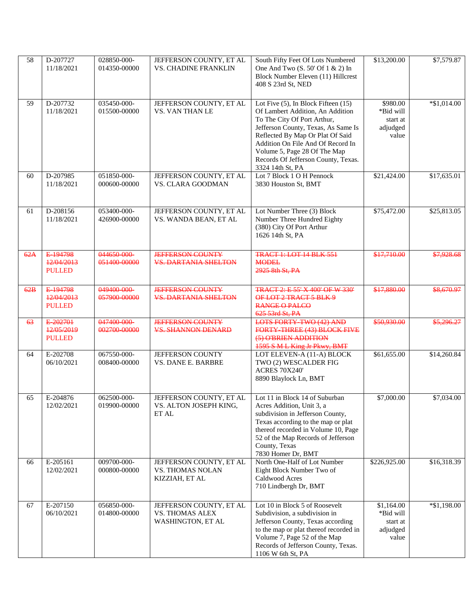| $\overline{58}$ | D-207727<br>11/18/2021                  | 028850-000-<br>014350-00000 | JEFFERSON COUNTY, ET AL<br><b>VS. CHADINE FRANKLIN</b>                        | South Fifty Feet Of Lots Numbered<br>One And Two (S. 50' Of 1 & 2) In<br>Block Number Eleven (11) Hillcrest<br>408 S 23rd St, NED                                                                                                                                                                                      | \$13,200.00                                              | \$7,579.87     |
|-----------------|-----------------------------------------|-----------------------------|-------------------------------------------------------------------------------|------------------------------------------------------------------------------------------------------------------------------------------------------------------------------------------------------------------------------------------------------------------------------------------------------------------------|----------------------------------------------------------|----------------|
| 59              | D-207732<br>11/18/2021                  | 035450-000-<br>015500-00000 | JEFFERSON COUNTY, ET AL<br>VS. VAN THAN LE                                    | Lot Five $(5)$ , In Block Fifteen $(15)$<br>Of Lambert Addition, An Addition<br>To The City Of Port Arthur,<br>Jefferson County, Texas, As Same Is<br>Reflected By Map Or Plat Of Said<br>Addition On File And Of Record In<br>Volume 5, Page 28 Of The Map<br>Records Of Jefferson County, Texas.<br>3324 14th St, PA | \$980.00<br>*Bid will<br>start at<br>adjudged<br>value   | $*$ \$1,014.00 |
| 60              | D-207985<br>11/18/2021                  | 051850-000-<br>000600-00000 | JEFFERSON COUNTY, ET AL<br>VS. CLARA GOODMAN                                  | Lot 7 Block 1 O H Pennock<br>3830 Houston St, BMT                                                                                                                                                                                                                                                                      | \$21,424.00                                              | \$17,635.01    |
| 61              | D-208156<br>11/18/2021                  | 053400-000-<br>426900-00000 | JEFFERSON COUNTY, ET AL<br>VS. WANDA BEAN, ET AL                              | Lot Number Three (3) Block<br>Number Three Hundred Eighty<br>(380) City Of Port Arthur<br>1626 14th St, PA                                                                                                                                                                                                             | \$75,472.00                                              | \$25,813.05    |
| 62A             | E-194798<br>12/04/2013<br><b>PULLED</b> | 044650-000-<br>051400-00000 | <b>JEFFERSON COUNTY</b><br><b>VS. DARTANIA SHELTON</b>                        | <b>TRACT 1: LOT 14 BLK 551</b><br><b>MODEL</b><br>2925 8th St. PA                                                                                                                                                                                                                                                      | \$17,710.00                                              | \$7,928.68     |
| 62B             | E-194798<br>12/04/2013<br><b>PULLED</b> | 049400-000-<br>057900-00000 | <b>JEFFERSON COUNTY</b><br><b>VS. DARTANIA SHELTON</b>                        | TRACT 2: E 55' X 400' OF W 330'<br>OF LOT 2 TRACT 5 BLK 9<br><b>RANGE O PALCO</b><br>625 53rd St, PA                                                                                                                                                                                                                   | \$17,880.00                                              | \$8,670.97     |
| 63              | E-202701<br>12/05/2019<br><b>PULLED</b> | 047400-000-<br>002700-00000 | <b>JEFFERSON COUNTY</b><br><b>VS. SHANNON DENARD</b>                          | <b>LOTS FORTY-TWO (42) AND</b><br>FORTY-THREE (43) BLOCK FIVE<br>(5) O'BRIEN ADDITION<br>1595 S M L King Jr Pkwy, BMT                                                                                                                                                                                                  | \$50,930.00                                              | \$5,296.27     |
| 64              | E-202708<br>06/10/2021                  | 067550-000-<br>008400-00000 | <b>JEFFERSON COUNTY</b><br>VS. DANE E. BARBRE                                 | LOT ELEVEN-A (11-A) BLOCK<br>TWO (2) WESCALDER FIG<br><b>ACRES 70X240'</b><br>8890 Blaylock Ln, BMT                                                                                                                                                                                                                    | \$61,655.00                                              | \$14,260.84    |
| 65              | E-204876<br>12/02/2021                  | 062500-000-<br>019900-00000 | JEFFERSON COUNTY, ET AL<br>VS. ALTON JOSEPH KING,<br>ET AL                    | Lot 11 in Block 14 of Suburban<br>Acres Addition, Unit 3, a<br>subdivision in Jefferson County,<br>Texas according to the map or plat<br>thereof recorded in Volume 10, Page<br>52 of the Map Records of Jefferson<br>County, Texas<br>7830 Homer Dr, BMT                                                              | \$7,000.00                                               | \$7,034.00     |
| 66              | E-205161<br>12/02/2021                  | 009700-000-<br>000800-00000 | JEFFERSON COUNTY, ET AL<br><b>VS. THOMAS NOLAN</b><br>KIZZIAH, ET AL          | North One-Half of Lot Number<br>Eight Block Number Two of<br>Caldwood Acres<br>710 Lindbergh Dr, BMT                                                                                                                                                                                                                   | \$226,925.00                                             | \$16,318.39    |
| 67              | E-207150<br>06/10/2021                  | 056850-000-<br>014800-00000 | JEFFERSON COUNTY, ET AL<br><b>VS. THOMAS ALEX</b><br><b>WASHINGTON, ET AL</b> | Lot 10 in Block 5 of Roosevelt<br>Subdivision, a subdivision in<br>Jefferson County, Texas according<br>to the map or plat thereof recorded in<br>Volume 7, Page 52 of the Map<br>Records of Jefferson County, Texas.<br>1106 W 6th St, PA                                                                             | \$1,164.00<br>*Bid will<br>start at<br>adjudged<br>value | $*$ \$1,198.00 |